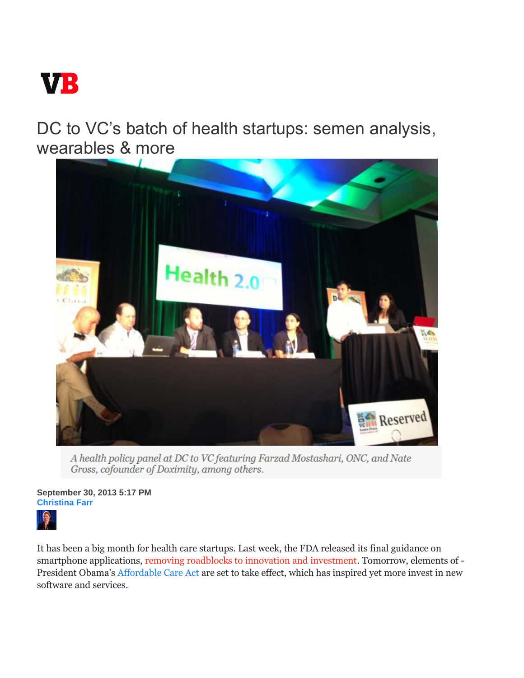

DC to VC's batch of health startups: semen analysis, wearables & more



A health policy panel at DC to VC featuring Farzad Mostashari, ONC, and Nate Gross, cofounder of Doximity, among others.

**September 30, 2013 5:17 PM Christina Farr** 



It has been a big month for health care startups. Last week, the FDA released its final guidance on smartphone applications, removing roadblocks to innovation and investment. Tomorrow, elements of - President Obama's Affordable Care Act are set to take effect, which has inspired yet more invest in new software and services.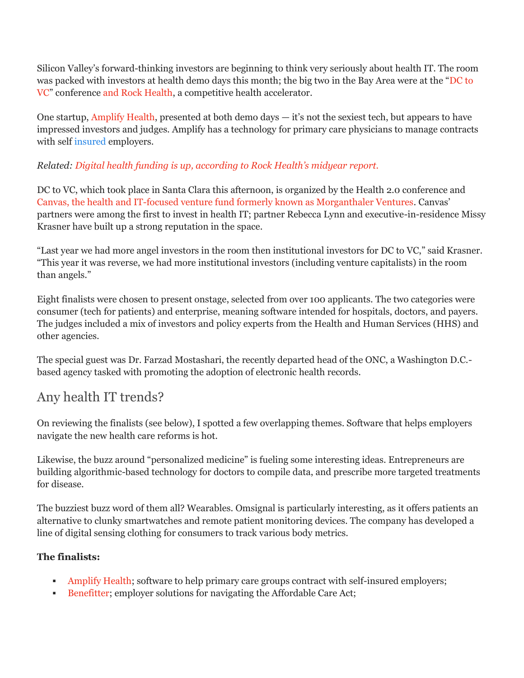Silicon Valley's forward-thinking investors are beginning to think very seriously about health IT. The room was packed with investors at health demo days this month; the big two in the Bay Area were at the "DC to VC" conference and Rock Health, a competitive health accelerator.

One startup, Amplify Health, presented at both demo days — it's not the sexiest tech, but appears to have impressed investors and judges. Amplify has a technology for primary care physicians to manage contracts with self insured employers.

## *Related: Digital health funding is up, according to Rock Health's midyear report.*

DC to VC, which took place in Santa Clara this afternoon, is organized by the Health 2.0 conference and Canvas, the health and IT-focused venture fund formerly known as Morganthaler Ventures. Canvas' partners were among the first to invest in health IT; partner Rebecca Lynn and executive-in-residence Missy Krasner have built up a strong reputation in the space.

"Last year we had more angel investors in the room then institutional investors for DC to VC," said Krasner. "This year it was reverse, we had more institutional investors (including venture capitalists) in the room than angels."

Eight finalists were chosen to present onstage, selected from over 100 applicants. The two categories were consumer (tech for patients) and enterprise, meaning software intended for hospitals, doctors, and payers. The judges included a mix of investors and policy experts from the Health and Human Services (HHS) and other agencies.

The special guest was Dr. Farzad Mostashari, the recently departed head of the ONC, a Washington D.C. based agency tasked with promoting the adoption of electronic health records.

## Any health IT trends?

On reviewing the finalists (see below), I spotted a few overlapping themes. Software that helps employers navigate the new health care reforms is hot.

Likewise, the buzz around "personalized medicine" is fueling some interesting ideas. Entrepreneurs are building algorithmic-based technology for doctors to compile data, and prescribe more targeted treatments for disease.

The buzziest buzz word of them all? Wearables. Omsignal is particularly interesting, as it offers patients an alternative to clunky smartwatches and remote patient monitoring devices. The company has developed a line of digital sensing clothing for consumers to track various body metrics.

## **The finalists:**

- Amplify Health; software to help primary care groups contract with self-insured employers;
- Benefitter; employer solutions for navigating the Affordable Care Act;